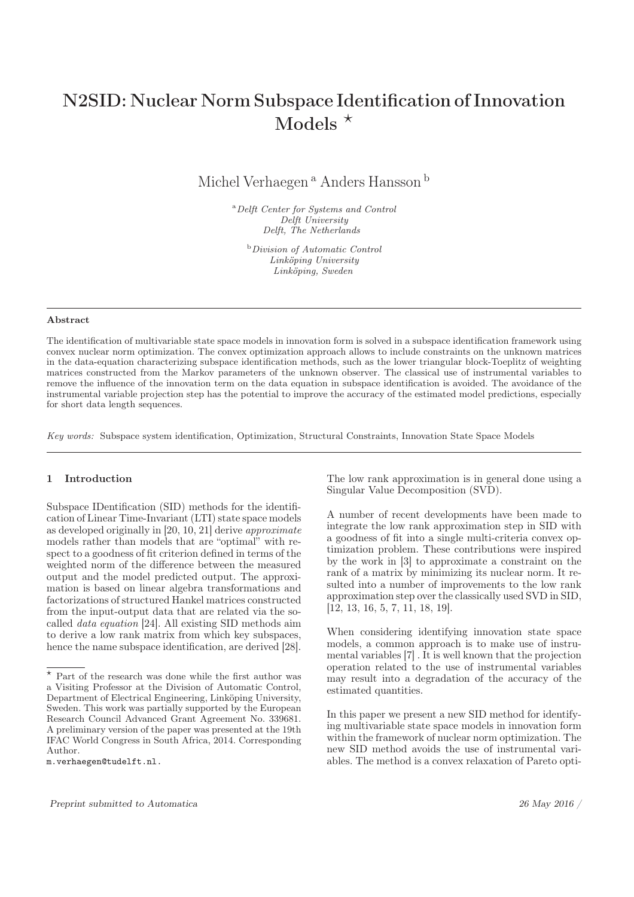# N2SID: Nuclear Norm Subspace Identification of Innovation Models  $\star$

Michel Verhaegen<sup>a</sup> Anders Hansson<sup>b</sup>

<sup>a</sup>Delft Center for Systems and Control Delft University Delft, The Netherlands

<sup>b</sup>Division of Automatic Control Linköping University Linköping, Sweden

#### Abstract

The identification of multivariable state space models in innovation form is solved in a subspace identification framework using convex nuclear norm optimization. The convex optimization approach allows to include constraints on the unknown matrices in the data-equation characterizing subspace identification methods, such as the lower triangular block-Toeplitz of weighting matrices constructed from the Markov parameters of the unknown observer. The classical use of instrumental variables to remove the influence of the innovation term on the data equation in subspace identification is avoided. The avoidance of the instrumental variable projection step has the potential to improve the accuracy of the estimated model predictions, especially for short data length sequences.

Key words: Subspace system identification, Optimization, Structural Constraints, Innovation State Space Models

### 1 Introduction

Subspace IDentification (SID) methods for the identification of Linear Time-Invariant (LTI) state space models as developed originally in [20, 10, 21] derive *approximate* models rather than models that are "optimal" with respect to a goodness of fit criterion defined in terms of the weighted norm of the difference between the measured output and the model predicted output. The approximation is based on linear algebra transformations and factorizations of structured Hankel matrices constructed from the input-output data that are related via the socalled *data equation* [24]. All existing SID methods aim to derive a low rank matrix from which key subspaces, hence the name subspace identification, are derived [28].

The low rank approximation is in general done using a Singular Value Decomposition (SVD).

A number of recent developments have been made to integrate the low rank approximation step in SID with a goodness of fit into a single multi-criteria convex optimization problem. These contributions were inspired by the work in [3] to approximate a constraint on the rank of a matrix by minimizing its nuclear norm. It resulted into a number of improvements to the low rank approximation step over the classically used SVD in SID, [12, 13, 16, 5, 7, 11, 18, 19].

When considering identifying innovation state space models, a common approach is to make use of instrumental variables [7] . It is well known that the projection operation related to the use of instrumental variables may result into a degradation of the accuracy of the estimated quantities.

In this paper we present a new SID method for identifying multivariable state space models in innovation form within the framework of nuclear norm optimization. The new SID method avoids the use of instrumental variables. The method is a convex relaxation of Pareto opti-

Part of the research was done while the first author was a Visiting Professor at the Division of Automatic Control, Department of Electrical Engineering, Linköping University, Sweden. This work was partially supported by the European Research Council Advanced Grant Agreement No. 339681. A preliminary version of the paper was presented at the 19th IFAC World Congress in South Africa, 2014. Corresponding Author.

m.verhaegen@tudelft.nl.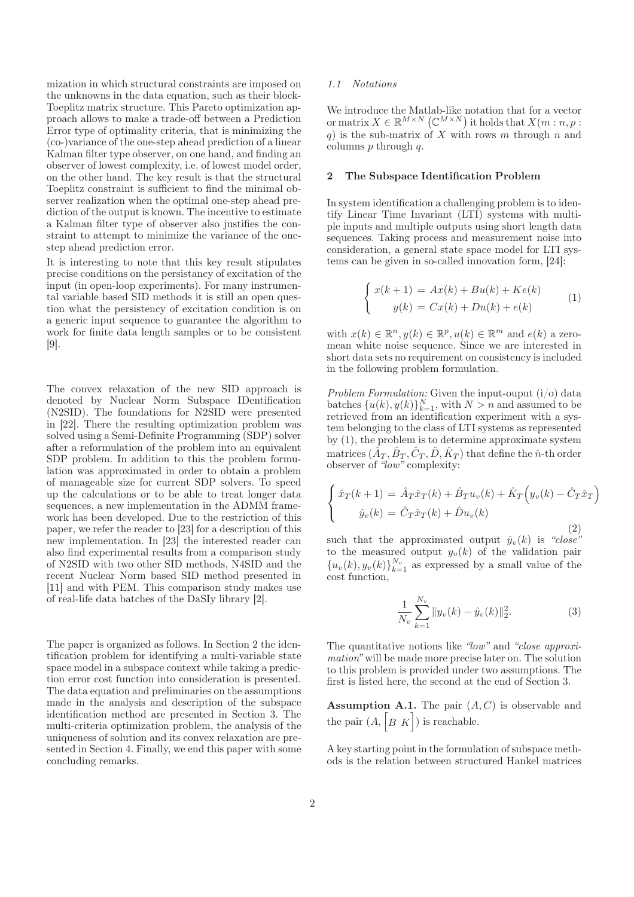mization in which structural constraints are imposed on the unknowns in the data equation, such as their block-Toeplitz matrix structure. This Pareto optimization approach allows to make a trade-off between a Prediction Error type of optimality criteria, that is minimizing the (co-)variance of the one-step ahead prediction of a linear Kalman filter type observer, on one hand, and finding an observer of lowest complexity, i.e. of lowest model order, on the other hand. The key result is that the structural Toeplitz constraint is sufficient to find the minimal observer realization when the optimal one-step ahead prediction of the output is known. The incentive to estimate a Kalman filter type of observer also justifies the constraint to attempt to minimize the variance of the onestep ahead prediction error.

It is interesting to note that this key result stipulates precise conditions on the persistancy of excitation of the input (in open-loop experiments). For many instrumental variable based SID methods it is still an open question what the persistency of excitation condition is on a generic input sequence to guarantee the algorithm to work for finite data length samples or to be consistent [9].

The convex relaxation of the new SID approach is denoted by Nuclear Norm Subspace IDentification (N2SID). The foundations for N2SID were presented in [22]. There the resulting optimization problem was solved using a Semi-Definite Programming (SDP) solver after a reformulation of the problem into an equivalent SDP problem. In addition to this the problem formulation was approximated in order to obtain a problem of manageable size for current SDP solvers. To speed up the calculations or to be able to treat longer data sequences, a new implementation in the ADMM framework has been developed. Due to the restriction of this paper, we refer the reader to [23] for a description of this new implementation. In [23] the interested reader can also find experimental results from a comparison study of N2SID with two other SID methods, N4SID and the recent Nuclear Norm based SID method presented in [11] and with PEM. This comparison study makes use of real-life data batches of the DaSIy library [2].

The paper is organized as follows. In Section 2 the identification problem for identifying a multi-variable state space model in a subspace context while taking a prediction error cost function into consideration is presented. The data equation and preliminaries on the assumptions made in the analysis and description of the subspace identification method are presented in Section 3. The multi-criteria optimization problem, the analysis of the uniqueness of solution and its convex relaxation are presented in Section 4. Finally, we end this paper with some concluding remarks.

#### *1.1 Notations*

We introduce the Matlab-like notation that for a vector or matrix  $X \in \mathbb{R}^{M \times N}$  ( $\mathbb{C}^{M \times N}$ ) it holds that  $X(m:n, p:$ q) is the sub-matrix of X with rows m through n and columns  $p$  through  $q$ .

# 2 The Subspace Identification Problem

In system identification a challenging problem is to identify Linear Time Invariant (LTI) systems with multiple inputs and multiple outputs using short length data sequences. Taking process and measurement noise into consideration, a general state space model for LTI systems can be given in so-called innovation form, [24]:

$$
\begin{cases}\nx(k+1) = Ax(k) + Bu(k) + Ke(k) \\
y(k) = Cx(k) + Du(k) + e(k)\n\end{cases}
$$
\n(1)

with  $x(k) \in \mathbb{R}^n$ ,  $y(k) \in \mathbb{R}^p$ ,  $u(k) \in \mathbb{R}^m$  and  $e(k)$  a zeromean white noise sequence. Since we are interested in short data sets no requirement on consistency is included in the following problem formulation.

*Problem Formulation:* Given the input-ouput (i/o) data batches  $\{u(k), y(k)\}_{k=1}^N$ , with  $N > n$  and assumed to be retrieved from an identification experiment with a system belonging to the class of LTI systems as represented by (1), the problem is to determine approximate system matrices  $(\hat{A}_T, \hat{B}_T, \hat{C}_T, \hat{D}, \hat{K}_T)$  that define the  $\hat{n}$ -th order observer of *"low"* complexity:

$$
\begin{cases}\n\hat{x}_T(k+1) = \hat{A}_T \hat{x}_T(k) + \hat{B}_T u_v(k) + \hat{K}_T \Big( y_v(k) - \hat{C}_T \hat{x}_T \Big) \\
\hat{y}_v(k) = \hat{C}_T \hat{x}_T(k) + \hat{D} u_v(k)\n\end{cases}
$$
\n(2)

such that the approximated output  $\hat{y}_v(k)$  is "close" to the measured output  $y_v(k)$  of the validation pair  ${u_v(k), y_v(k)}_{k=1}^{N_v}$  as expressed by a small value of the cost function,

$$
\frac{1}{N_v} \sum_{k=1}^{N_v} \|y_v(k) - \hat{y}_v(k)\|_2^2.
$$
 (3)

The quantitative notions like *"low"* and *"close approximation"* will be made more precise later on. The solution to this problem is provided under two assumptions. The first is listed here, the second at the end of Section 3.

**Assumption A.1.** The pair  $(A, C)$  is observable and the pair  $(A, [B K])$  is reachable.

A key starting point in the formulation of subspace methods is the relation between structured Hankel matrices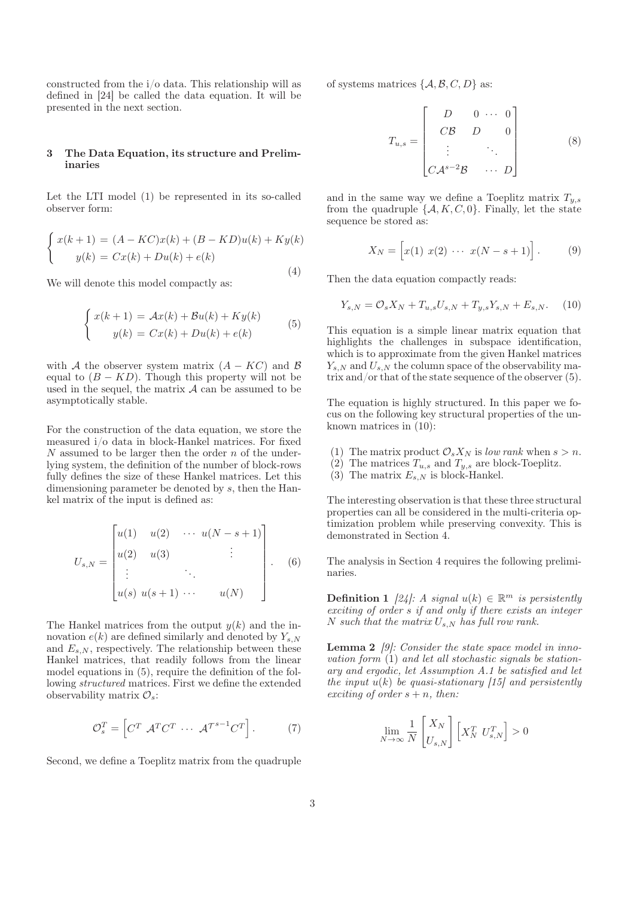constructed from the i/o data. This relationship will as defined in [24] be called the data equation. It will be presented in the next section.

# 3 The Data Equation, its structure and Preliminaries

Let the LTI model (1) be represented in its so-called observer form:

$$
\begin{cases}\nx(k+1) = (A - KC)x(k) + (B - KD)u(k) + Ky(k) \\
y(k) = Cx(k) + Du(k) + e(k)\n\end{cases}
$$
\n(4)

We will denote this model compactly as:

$$
\begin{cases}\nx(k+1) = Ax(k) + Bu(k) + Ky(k) \\
y(k) = Cx(k) + Du(k) + e(k)\n\end{cases}
$$
\n(5)

with A the observer system matrix  $(A - KC)$  and B equal to  $(B - KD)$ . Though this property will not be used in the sequel, the matrix  $A$  can be assumed to be asymptotically stable.

For the construction of the data equation, we store the measured i/o data in block-Hankel matrices. For fixed  $N$  assumed to be larger then the order  $n$  of the underlying system, the definition of the number of block-rows fully defines the size of these Hankel matrices. Let this dimensioning parameter be denoted by s, then the Hankel matrix of the input is defined as:

$$
U_{s,N} = \begin{bmatrix} u(1) & u(2) & \cdots & u(N-s+1) \\ u(2) & u(3) & & \vdots \\ \vdots & & \ddots & \\ u(s) & u(s+1) & \cdots & u(N) \end{bmatrix} .
$$
 (6)

The Hankel matrices from the output  $y(k)$  and the innovation  $e(k)$  are defined similarly and denoted by  $Y_{s,N}$ and  $E_{s,N}$ , respectively. The relationship between these Hankel matrices, that readily follows from the linear model equations in (5), require the definition of the following *structured* matrices. First we define the extended observability matrix  $\mathcal{O}_s$ :

$$
\mathcal{O}_s^T = \left[ C^T \mathcal{A}^T C^T \cdots \mathcal{A}^{T^{s-1}} C^T \right]. \tag{7}
$$

Second, we define a Toeplitz matrix from the quadruple

of systems matrices  $\{A, B, C, D\}$  as:

$$
T_{u,s} = \begin{bmatrix} D & 0 & \cdots & 0 \\ CB & D & 0 \\ \vdots & & \ddots & \\ CA^{s-2}\mathcal{B} & \cdots & D \end{bmatrix}
$$
 (8)

and in the same way we define a Toeplitz matrix  $T_{y,s}$ from the quadruple  $\{A, K, C, 0\}$ . Finally, let the state sequence be stored as:

$$
X_N = [x(1) \ x(2) \ \cdots \ x(N - s + 1)]. \tag{9}
$$

Then the data equation compactly reads:

$$
Y_{s,N} = \mathcal{O}_s X_N + T_{u,s} U_{s,N} + T_{y,s} Y_{s,N} + E_{s,N}.
$$
 (10)

This equation is a simple linear matrix equation that highlights the challenges in subspace identification, which is to approximate from the given Hankel matrices  $Y_{s,N}$  and  $U_{s,N}$  the column space of the observability matrix and/or that of the state sequence of the observer (5).

The equation is highly structured. In this paper we focus on the following key structural properties of the unknown matrices in (10):

- (1) The matrix product  $\mathcal{O}_s X_N$  is *low rank* when  $s > n$ .
- (2) The matrices  $T_{u,s}$  and  $T_{y,s}$  are block-Toeplitz.
- (3) The matrix  $E_{s,N}$  is block-Hankel.

The interesting observation is that these three structural properties can all be considered in the multi-criteria optimization problem while preserving convexity. This is demonstrated in Section 4.

The analysis in Section 4 requires the following preliminaries.

**Definition 1** [24]: A signal  $u(k) \in \mathbb{R}^m$  is persistently *exciting of order* s *if and only if there exists an integer* N such that the matrix  $U_{s,N}$  has full row rank.

Lemma 2 *[9]: Consider the state space model in innovation form* (1) *and let all stochastic signals be stationary and ergodic, let Assumption A.1 be satisfied and let the input* u(k) *be quasi-stationary [15] and persistently exciting of order*  $s + n$ *, then:* 

$$
\lim_{N\to\infty}\frac{1}{N}\begin{bmatrix} X_N\\U_{s,N} \end{bmatrix}\begin{bmatrix} X_N^T & U_{s,N}^T \end{bmatrix}>0
$$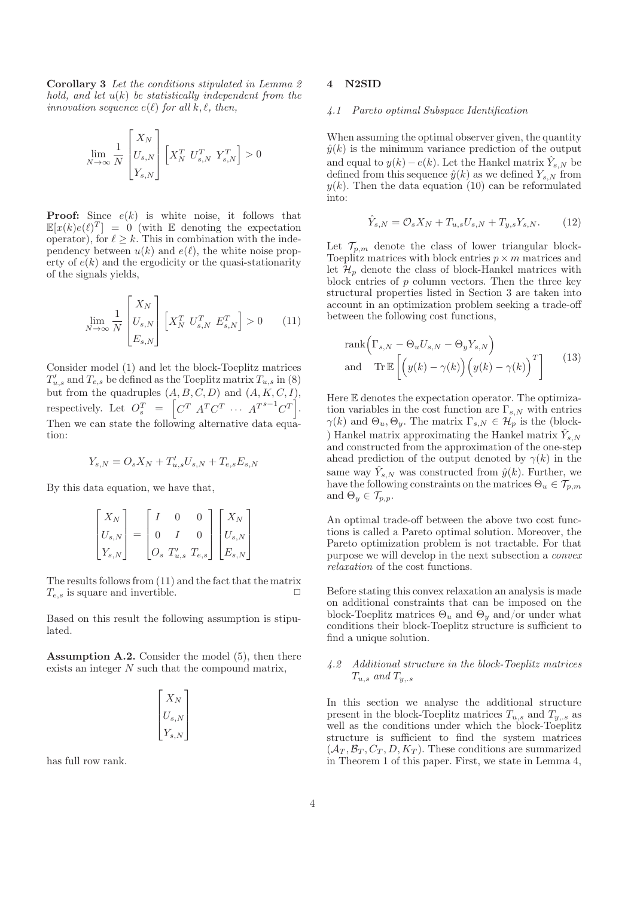Corollary 3 *Let the conditions stipulated in Lemma 2 hold, and let* u(k) *be statistically independent from the innovation sequence*  $e(\ell)$  *for all*  $k, \ell$ *, then,* 

$$
\lim_{N \to \infty} \frac{1}{N} \begin{bmatrix} X_N \\ U_{s,N} \\ Y_{s,N} \end{bmatrix} \begin{bmatrix} X_N^T & U_{s,N}^T & Y_{s,N}^T \end{bmatrix} > 0
$$

**Proof:** Since  $e(k)$  is white noise, it follows that  $\mathbb{E}[x(k)e(\ell)^T] = 0$  (with E denoting the expectation operator), for  $\ell \geq k$ . This in combination with the independency between  $u(k)$  and  $e(\ell)$ , the white noise property of  $e(k)$  and the ergodicity or the quasi-stationarity of the signals yields,

$$
\lim_{N \to \infty} \frac{1}{N} \begin{bmatrix} X_N \\ U_{s,N} \\ E_{s,N} \end{bmatrix} \begin{bmatrix} X_N^T & U_{s,N}^T & E_{s,N}^T \end{bmatrix} > 0 \tag{11}
$$

Consider model (1) and let the block-Toeplitz matrices  $T'_{u,s}$  and  $T_{e,s}$  be defined as the Toeplitz matrix  $T_{u,s}$  in (8) but from the quadruples  $(A, B, C, D)$  and  $(A, K, C, I)$ , respectively. Let  $O_s^T = \left[ C^T A^T C^T \cdots A^{T^{s-1}} C^T \right]$ . Then we can state the following alternative data equation:

$$
Y_{s,N} = O_s X_N + T'_{u,s} U_{s,N} + T_{e,s} E_{s,N}
$$

By this data equation, we have that,

|           |  |                                         | $X_N^{}$            |  |
|-----------|--|-----------------------------------------|---------------------|--|
| $U_{s,N}$ |  |                                         | $\mathcal{I}_{s,N}$ |  |
| s, N      |  | $\left[O_s \ T'_{u,s} \ T_{e,s}\right]$ | $E_{s,N}$           |  |

The results follows from (11) and the fact that the matrix  $T_{e,s}$  is square and invertible.

Based on this result the following assumption is stipulated.

Assumption A.2. Consider the model (5), then there exists an integer  $N$  such that the compound matrix,

$$
\begin{bmatrix} X_N \\ U_{s,N} \\ Y_{s,N} \end{bmatrix}
$$

has full row rank.

# 4 N2SID

# *4.1 Pareto optimal Subspace Identification*

When assuming the optimal observer given, the quantity  $\hat{y}(k)$  is the minimum variance prediction of the output and equal to  $y(k) - e(k)$ . Let the Hankel matrix  $\hat{Y}_{s,N}$  be defined from this sequence  $\hat{y}(k)$  as we defined  $Y_{s,N}$  from  $y(k)$ . Then the data equation (10) can be reformulated into:

$$
\hat{Y}_{s,N} = \mathcal{O}_s X_N + T_{u,s} U_{s,N} + T_{y,s} Y_{s,N}.
$$
 (12)

Let  $\mathcal{T}_{p,m}$  denote the class of lower triangular block-Toeplitz matrices with block entries  $p \times m$  matrices and let  $\mathcal{H}_p$  denote the class of block-Hankel matrices with block entries of  $p$  column vectors. Then the three key structural properties listed in Section 3 are taken into account in an optimization problem seeking a trade-off between the following cost functions,

$$
\operatorname{rank}\left(\Gamma_{s,N} - \Theta_u U_{s,N} - \Theta_y Y_{s,N}\right)
$$
  
and 
$$
\operatorname{Tr}\mathbb{E}\left[\left(y(k) - \gamma(k)\right)\left(y(k) - \gamma(k)\right)^T\right]
$$
 (13)

Here E denotes the expectation operator. The optimization variables in the cost function are  $\Gamma_{s,N}$  with entries  $\gamma(k)$  and  $\Theta_u, \Theta_y$ . The matrix  $\Gamma_{s,N} \in \mathcal{H}_p$  is the (block-) Hankel matrix approximating the Hankel matrix  $\hat{Y}_{s,N}$ and constructed from the approximation of the one-step ahead prediction of the output denoted by  $\gamma(k)$  in the same way  $\hat{Y}_{s,N}$  was constructed from  $\hat{y}(k)$ . Further, we have the following constraints on the matrices  $\Theta_u \in \mathcal{T}_{p,m}$ and  $\Theta_y \in \mathcal{T}_{p,p}$ .

An optimal trade-off between the above two cost functions is called a Pareto optimal solution. Moreover, the Pareto optimization problem is not tractable. For that purpose we will develop in the next subsection a *convex relaxation* of the cost functions.

Before stating this convex relaxation an analysis is made on additional constraints that can be imposed on the block-Toeplitz matrices  $\Theta_u$  and  $\Theta_y$  and/or under what conditions their block-Toeplitz structure is sufficient to find a unique solution.

# *4.2 Additional structure in the block-Toeplitz matrices*  $T_{u,s}$  and  $T_{y,s}$

In this section we analyse the additional structure present in the block-Toeplitz matrices  $T_{u,s}$  and  $T_{y,s}$  as well as the conditions under which the block-Toeplitz structure is sufficient to find the system matrices  $(\mathcal{A}_T, \mathcal{B}_T, C_T, D, K_T)$ . These conditions are summarized in Theorem 1 of this paper. First, we state in Lemma 4,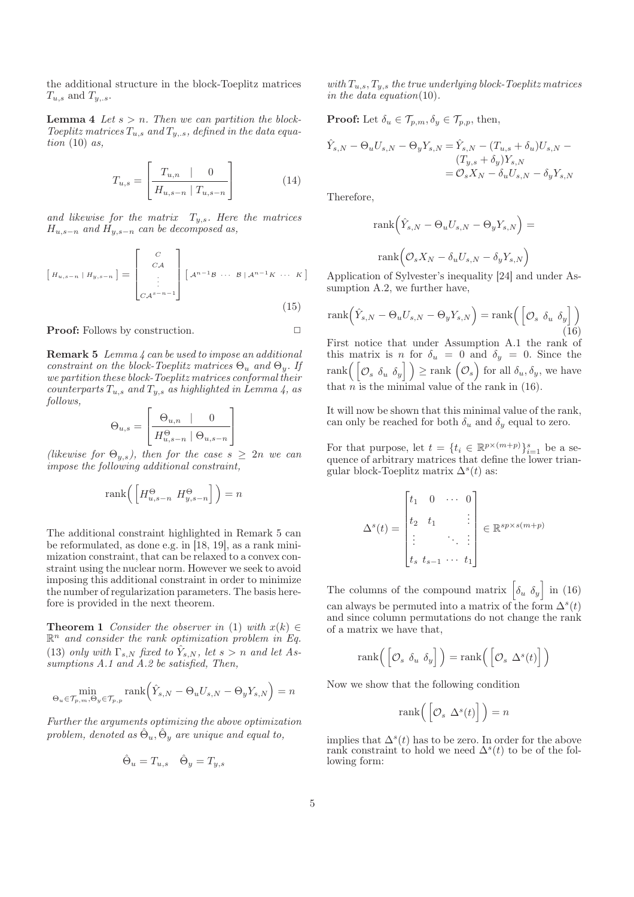the additional structure in the block-Toeplitz matrices  $T_{u,s}$  and  $T_{y,s}$ .

**Lemma 4** Let  $s > n$ . Then we can partition the block-Toeplitz matrices  $T_{u,s}$  and  $T_{y,s}$ , defined in the data equa*tion* (10) *as,*

$$
T_{u,s} = \left[ \frac{T_{u,n} \quad | \quad 0}{H_{u,s-n} \mid T_{u,s-n}} \right] \tag{14}
$$

and likewise for the matrix  $T_{y,s}$ . Here the matrices Hu,s−<sup>n</sup> *and* Hy,s−<sup>n</sup> *can be decomposed as,*

$$
\begin{bmatrix} H_{u,s-n} | H_{y,s-n} \end{bmatrix} = \begin{bmatrix} C \\ C A \\ \vdots \\ C A^{s-n-1} \end{bmatrix} \begin{bmatrix} A^{n-1}B & \cdots & B | A^{n-1}K & \cdots & K \end{bmatrix}
$$
 (15)

**Proof:** Follows by construction. □

Remark 5 *Lemma 4 can be used to impose an additional constraint on the block-Toeplitz matrices*  $\Theta_u$  *and*  $\Theta_y$ *. If we partition these block-Toeplitz matrices conformal their*  $counterparts T_{u,s}$  *and*  $T_{u,s}$  *as highlighted in Lemma 4, as follows,*

$$
\Theta_{u,s} = \left[ \begin{array}{c|c} \Theta_{u,n} & 0 \\ \hline H_{u,s-n}^{\Theta} & \Theta_{u,s-n} \end{array} \right]
$$

*(likewise for*  $\Theta_{y,s}$ *), then for the case*  $s \geq 2n$  *we can impose the following additional constraint,*

$$
rank\left(\left[H_{u,s-n}^{\Theta} \ H_{y,s-n}^{\Theta}\right]\right)=n
$$

The additional constraint highlighted in Remark 5 can be reformulated, as done e.g. in [18, 19], as a rank minimization constraint, that can be relaxed to a convex constraint using the nuclear norm. However we seek to avoid imposing this additional constraint in order to minimize the number of regularization parameters. The basis herefore is provided in the next theorem.

**Theorem 1** *Consider the observer in* (1) *with*  $x(k) \in$  $\mathbb{R}^n$  and consider the rank optimization problem in Eq. (13) *only with*  $\Gamma_{s,N}$  *fixed to*  $\hat{Y}_{s,N}$ *, let*  $s > n$  *and let* As*sumptions A.1 and A.2 be satisfied, Then,*

$$
\min_{\Theta_u \in \mathcal{T}_{p,m}, \Theta_y \in \mathcal{T}_{p,p}} \text{rank}(\hat{Y}_{s,N} - \Theta_u U_{s,N} - \Theta_y Y_{s,N}) = n
$$

*Further the arguments optimizing the above optimization problem, denoted as*  $\hat{\Theta}_u$ ,  $\hat{\Theta}_y$  *are unique and equal to,* 

$$
\hat{\Theta}_u = T_{u,s} \quad \hat{\Theta}_y = T_{y,s}
$$

*with* Tu,s, Ty,s *the true underlying block-Toeplitz matrices in the data equation*(10)*.*

**Proof:** Let  $\delta_u \in \mathcal{T}_{p,m}, \delta_y \in \mathcal{T}_{p,p}$ , then,

$$
\hat{Y}_{s,N} - \Theta_u U_{s,N} - \Theta_y Y_{s,N} = \hat{Y}_{s,N} - (T_{u,s} + \delta_u) U_{s,N} -
$$
\n
$$
(T_{y,s} + \delta_y) Y_{s,N}
$$
\n
$$
= \mathcal{O}_s X_N - \delta_u U_{s,N} - \delta_y Y_{s,N}
$$

Therefore,

$$
rank(\hat{Y}_{s,N} - \Theta_u U_{s,N} - \Theta_y Y_{s,N}) =
$$

$$
rank(\mathcal{O}_s X_N - \delta_u U_{s,N} - \delta_y Y_{s,N})
$$

Application of Sylvester's inequality [24] and under Assumption A.2, we further have,

$$
rank(\hat{Y}_{s,N} - \Theta_u U_{s,N} - \Theta_y Y_{s,N}) = rank(\begin{bmatrix} \mathcal{O}_s & \delta_u & \delta_y \end{bmatrix})
$$
\n(16)

First notice that under Assumption A.1 the rank of this matrix is n for  $\delta_u = 0$  and  $\delta_y = 0$ . Since the  $\text{rank} \left( \begin{bmatrix} \mathcal{O}_s & \delta_u & \delta_y \end{bmatrix} \right) \geq \text{rank} \begin{bmatrix} \mathcal{O}_s \end{bmatrix}$  for all  $\delta_u, \delta_y$ , we have that  $n$  is the minimal value of the rank in  $(16)$ .

It will now be shown that this minimal value of the rank, can only be reached for both  $\delta_u$  and  $\delta_y$  equal to zero.

For that purpose, let  $t = \{t_i \in \mathbb{R}^{p \times (m+p)}\}_{i=1}^s$  be a sequence of arbitrary matrices that define the lower triangular block-Toeplitz matrix  $\Delta^{s}(t)$  as:

$$
\Delta^{s}(t) = \begin{bmatrix} t_1 & 0 & \cdots & 0 \\ t_2 & t_1 & & \vdots \\ \vdots & & \ddots & \vdots \\ t_s & t_{s-1} & \cdots & t_1 \end{bmatrix} \in \mathbb{R}^{sp \times s(m+p)}
$$

The columns of the compound matrix  $\left[\delta_u \ \delta_y\right]$  in (16) can always be permuted into a matrix of the form  $\Delta^{s}(t)$ and since column permutations do not change the rank of a matrix we have that,

$$
\text{rank}\left(\left[\mathcal{O}_s \, \delta_u \, \delta_y\right]\right) = \text{rank}\left(\left[\mathcal{O}_s \, \Delta^s(t)\right]\right)
$$

Now we show that the following condition

$$
rank\left(\left[\mathcal{O}_s \ \Delta^s(t)\right]\right) = n
$$

implies that  $\Delta^{s}(t)$  has to be zero. In order for the above rank constraint to hold we need  $\Delta^{s}(t)$  to be of the following form: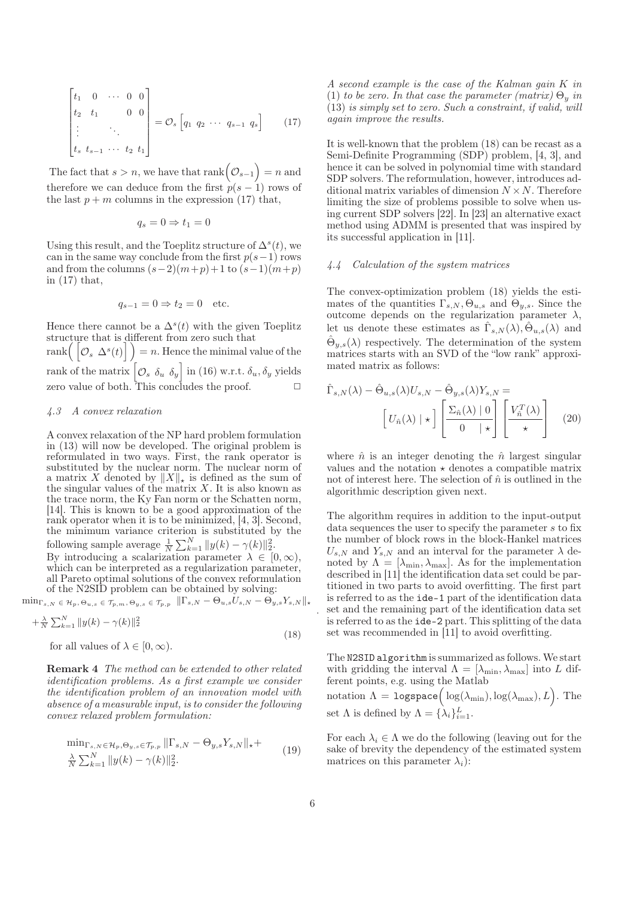$$
\begin{bmatrix} t_1 & 0 & \cdots & 0 & 0 \\ t_2 & t_1 & & 0 & 0 \\ \vdots & & \ddots & & \\ t_s & t_{s-1} & \cdots & t_2 & t_1 \end{bmatrix} = \mathcal{O}_s \begin{bmatrix} q_1 & q_2 & \cdots & q_{s-1} & q_s \end{bmatrix}
$$
 (17)

The fact that  $s > n$ , we have that  $\text{rank}(\mathcal{O}_{s-1}) = n$  and therefore we can deduce from the first  $p(s-1)$  rows of the last  $p + m$  columns in the expression (17) that,

$$
q_s = 0 \Rightarrow t_1 = 0
$$

Using this result, and the Toeplitz structure of  $\Delta^{s}(t)$ , we can in the same way conclude from the first  $p(s-1)$  rows and from the columns  $(s-2)(m+p)+1$  to  $(s-1)(m+p)$ in (17) that,

$$
q_{s-1} = 0 \Rightarrow t_2 = 0 \quad \text{etc.}
$$

Hence there cannot be a  $\Delta^{s}(t)$  with the given Toeplitz structure that is different from zero such that  $rank(\left[ \mathcal{O}_{s} \left[ \Delta^{s}(t) \right] \right]) = n.$  Hence the minimal value of the rank of the matrix  $\left[\mathcal{O}_s \ \delta_u \ \delta_y\right]$  in (16) w.r.t.  $\delta_u$ ,  $\delta_y$  yields zero value of both. This concludes the proof.

## *4.3 A convex relaxation*

A convex relaxation of the NP hard problem formulation in (13) will now be developed. The original problem is reformulated in two ways. First, the rank operator is substituted by the nuclear norm. The nuclear norm of a matrix X denoted by  $||X||_{\star}$  is defined as the sum of the singular values of the matrix  $X$ . It is also known as the trace norm, the Ky Fan norm or the Schatten norm, [14]. This is known to be a good approximation of the rank operator when it is to be minimized, [4, 3]. Second, the minimum variance criterion is substituted by the following sample average  $\frac{1}{N} \sum_{k=1}^{N} ||y(k) - \gamma(k)||_2^2$ .

By introducing a scalarization parameter  $\lambda \in [0, \infty)$ , which can be interpreted as a regularization parameter, all Pareto optimal solutions of the convex reformulation of the N2SID problem can be obtained by solving:

 $\min_{\Gamma_{s,N}} \in \mathcal{H}_p, \Theta_{u,s} \in \mathcal{T}_{p,m}, \Theta_{y,s} \in \mathcal{T}_{p,p} \ \ \left\| \Gamma_{s,N} - \Theta_{u,s} U_{s,N} - \bar{\Theta_{y,s}} Y_{s,N} \right\| \star$ 

$$
+\frac{\lambda}{N}\sum_{k=1}^{N}||y(k)-\gamma(k)||_{2}^{2}
$$
\n(18)

for all values of  $\lambda \in [0, \infty)$ .

Remark 4 *The method can be extended to other related identification problems. As a first example we consider the identification problem of an innovation model with absence of a measurable input, is to consider the following convex relaxed problem formulation:*

$$
\min_{\Gamma_{s,N} \in \mathcal{H}_p, \Theta_{y,s} \in \mathcal{T}_{p,p}} ||\Gamma_{s,N} - \Theta_{y,s} Y_{s,N}||_{\star} + \frac{\lambda}{N} \sum_{k=1}^N ||y(k) - \gamma(k)||_2^2.
$$
\n(19)

*A second example is the case of the Kalman gain* K *in* (1) *to be zero. In that case the parameter (matrix)*  $\Theta_u$  *in* (13) *is simply set to zero. Such a constraint, if valid, will again improve the results.*

It is well-known that the problem (18) can be recast as a Semi-Definite Programming (SDP) problem, [4, 3], and hence it can be solved in polynomial time with standard SDP solvers. The reformulation, however, introduces additional matrix variables of dimension  $N \times N$ . Therefore limiting the size of problems possible to solve when using current SDP solvers [22]. In [23] an alternative exact method using ADMM is presented that was inspired by its successful application in [11].

#### *4.4 Calculation of the system matrices*

The convex-optimization problem (18) yields the estimates of the quantities  $\Gamma_{s,N}, \Theta_{u,s}$  and  $\Theta_{y,s}$ . Since the outcome depends on the regularization parameter  $\lambda$ , let us denote these estimates as  $\hat{\Gamma}_{s,N}(\lambda), \hat{\Theta}_{u,s}(\lambda)$  and  $\hat{\Theta}_{y,s}(\lambda)$  respectively. The determination of the system matrices starts with an SVD of the "low rank" approximated matrix as follows:

$$
\hat{\Gamma}_{s,N}(\lambda) - \hat{\Theta}_{u,s}(\lambda)U_{s,N} - \hat{\Theta}_{y,s}(\lambda)Y_{s,N} = \left[U_{\hat{n}}(\lambda) \mid \star\right] \left[\frac{\Sigma_{\hat{n}}(\lambda) \mid 0}{0 \mid \star}\right] \left[\frac{V_{\hat{n}}^T(\lambda)}{\star}\right] \tag{20}
$$

where  $\hat{n}$  is an integer denoting the  $\hat{n}$  largest singular values and the notation  $\star$  denotes a compatible matrix not of interest here. The selection of  $\hat{n}$  is outlined in the algorithmic description given next.

The algorithm requires in addition to the input-output data sequences the user to specify the parameter s to fix the number of block rows in the block-Hankel matrices  $U_{s,N}$  and  $Y_{s,N}$  and an interval for the parameter  $\lambda$  denoted by  $\Lambda = [\lambda_{\min}, \lambda_{\max}]$ . As for the implementation described in [11] the identification data set could be partitioned in two parts to avoid overfitting. The first part is referred to as the ide-1 part of the identification data set and the remaining part of the identification data set is referred to as the ide-2 part. This splitting of the data set was recommended in [11] to avoid overfitting.

The N2SID algorithm is summarized as follows. We start with gridding the interval  $\Lambda = [\lambda_{\min}, \lambda_{\max}]$  into L different points, e.g. using the Matlab

notation  $\Lambda = \texttt{logspace}\Big(\log(\lambda_{\min}), \log(\lambda_{\max}), L\Big).$  The set  $\Lambda$  is defined by  $\Lambda = {\lambda_i}_{i=1}^L$ .

For each  $\lambda_i \in \Lambda$  we do the following (leaving out for the sake of brevity the dependency of the estimated system matrices on this parameter  $\lambda_i$ :

.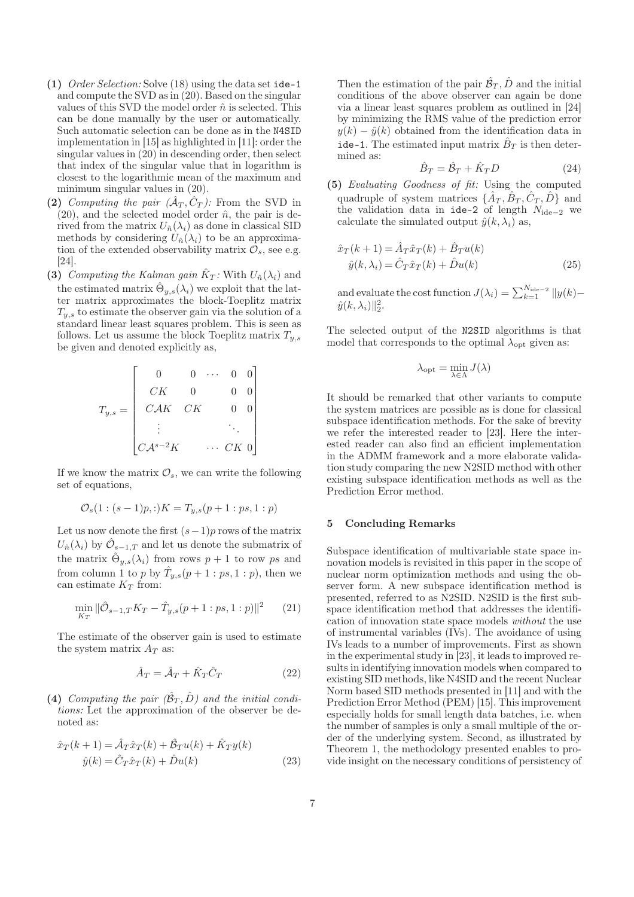- (1) *Order Selection:* Solve (18) using the data set ide-1 and compute the SVD as in (20). Based on the singular values of this SVD the model order  $\hat{n}$  is selected. This can be done manually by the user or automatically. Such automatic selection can be done as in the N4SID implementation in [15] as highlighted in [11]: order the singular values in (20) in descending order, then select that index of the singular value that in logarithm is closest to the logarithmic mean of the maximum and minimum singular values in (20).
- (2) *Computing the pair*  $(\hat{A}_T, \hat{C}_T)$ : From the SVD in  $(20)$ , and the selected model order  $\hat{n}$ , the pair is derived from the matrix  $U_{\hat{n}}(\lambda_i)$  as done in classical SID methods by considering  $U_{\hat{n}}(\lambda_i)$  to be an approximation of the extended observability matrix  $\mathcal{O}_s$ , see e.g. [24].
- (3) *Computing the Kalman gain*  $\hat{K}_T$ : With  $U_{\hat{n}}(\lambda_i)$  and the estimated matrix  $\hat{\Theta}_{y,s}(\lambda_i)$  we exploit that the latter matrix approximates the block-Toeplitz matrix  $T_{y,s}$  to estimate the observer gain via the solution of a standard linear least squares problem. This is seen as follows. Let us assume the block Toeplitz matrix  $T_{y,s}$ be given and denoted explicitly as,

$$
T_{y,s} = \begin{bmatrix} 0 & 0 & \cdots & 0 & 0 \\ CK & 0 & & 0 & 0 \\ CAK & CK & & 0 & 0 \\ \vdots & & & \ddots & \\ C\mathcal{A}^{s-2}K & & \cdots & CK & 0 \end{bmatrix}
$$

If we know the matrix  $\mathcal{O}_s$ , we can write the following set of equations,

$$
\mathcal{O}_s(1:(s-1)p,:)K = T_{y,s}(p+1:ps,1:p)
$$

Let us now denote the first  $(s-1)p$  rows of the matrix  $U_{\hat{n}}(\lambda_i)$  by  $\hat{\mathcal{O}}_{s-1,T}$  and let us denote the submatrix of the matrix  $\hat{\Theta}_{y,s}(\lambda_i)$  from rows  $p+1$  to row ps and from column 1 to p by  $\hat{T}_{y,s}(p+1:ps,1:p)$ , then we can estimate  $K_T$  from:

$$
\min_{K_T} \|\hat{\mathcal{O}}_{s-1,T} K_T - \hat{T}_{y,s}(p+1:ps,1:p)\|^2 \qquad (21)
$$

The estimate of the observer gain is used to estimate the system matrix  $A_T$  as:

$$
\hat{A}_T = \hat{\mathcal{A}}_T + \hat{K}_T \hat{C}_T \tag{22}
$$

(4) Computing the pair  $(\hat{\mathcal{B}}_T, \hat{D})$  and the initial condi*tions:* Let the approximation of the observer be denoted as:

$$
\hat{x}_T(k+1) = \hat{\mathcal{A}}_T \hat{x}_T(k) + \hat{\mathcal{B}}_T u(k) + \hat{K}_T y(k)
$$
  

$$
\hat{y}(k) = \hat{C}_T \hat{x}_T(k) + \hat{D} u(k)
$$
 (23)

Then the estimation of the pair  $\hat{\mathcal{B}}_T, \hat{D}$  and the initial conditions of the above observer can again be done via a linear least squares problem as outlined in [24] by minimizing the RMS value of the prediction error  $y(k) - \hat{y}(k)$  obtained from the identification data in ide-1. The estimated input matrix  $\hat{B}_T$  is then determined as:

$$
\hat{B}_T = \hat{B}_T + \hat{K}_T D \tag{24}
$$

(5) *Evaluating Goodness of fit:* Using the computed quadruple of system matrices  $\{\hat{A}_T, \hat{B}_T, \hat{C}_T, \hat{D}\}$  and the validation data in ide-2 of length  $N_{ide-2}$  we calculate the simulated output  $\hat{y}(k, \lambda_i)$  as,

$$
\hat{x}_T(k+1) = \hat{A}_T \hat{x}_T(k) + \hat{B}_T u(k)
$$
  

$$
\hat{y}(k, \lambda_i) = \hat{C}_T \hat{x}_T(k) + \hat{D} u(k)
$$
 (25)

and evaluate the cost function  $J(\lambda_i) = \sum_{k=1}^{N_{\text{ide}}-2} ||y(k) \hat{y}(k, \lambda_i)$ ||<sup>2</sup>.

The selected output of the N2SID algorithms is that model that corresponds to the optimal  $\lambda_{\text{opt}}$  given as:

$$
\lambda_{\mathrm{opt}} = \min_{\lambda \in \Lambda} J(\lambda)
$$

It should be remarked that other variants to compute the system matrices are possible as is done for classical subspace identification methods. For the sake of brevity we refer the interested reader to [23]. Here the interested reader can also find an efficient implementation in the ADMM framework and a more elaborate validation study comparing the new N2SID method with other existing subspace identification methods as well as the Prediction Error method.

#### 5 Concluding Remarks

Subspace identification of multivariable state space innovation models is revisited in this paper in the scope of nuclear norm optimization methods and using the observer form. A new subspace identification method is presented, referred to as N2SID. N2SID is the first subspace identification method that addresses the identification of innovation state space models *without* the use of instrumental variables (IVs). The avoidance of using IVs leads to a number of improvements. First as shown in the experimental study in [23], it leads to improved results in identifying innovation models when compared to existing SID methods, like N4SID and the recent Nuclear Norm based SID methods presented in [11] and with the Prediction Error Method (PEM) [15]. This improvement especially holds for small length data batches, i.e. when the number of samples is only a small multiple of the order of the underlying system. Second, as illustrated by Theorem 1, the methodology presented enables to provide insight on the necessary conditions of persistency of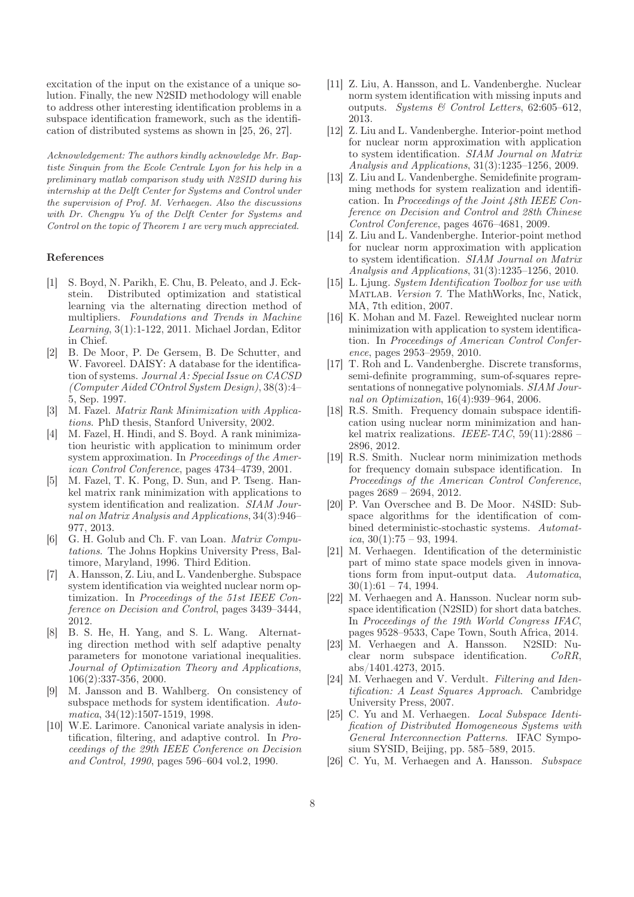excitation of the input on the existance of a unique solution. Finally, the new N2SID methodology will enable to address other interesting identification problems in a subspace identification framework, such as the identification of distributed systems as shown in [25, 26, 27].

Acknowledgement: The authors kindly acknowledge Mr. Baptiste Sinquin from the Ecole Centrale Lyon for his help in a preliminary matlab comparison study with N2SID during his internship at the Delft Center for Systems and Control under the supervision of Prof. M. Verhaegen. Also the discussions with Dr. Chengpu Yu of the Delft Center for Systems and Control on the topic of Theorem 1 are very much appreciated.

# References

- [1] S. Boyd, N. Parikh, E. Chu, B. Peleato, and J. Eckstein. Distributed optimization and statistical learning via the alternating direction method of multipliers. *Foundations and Trends in Machine Learning*, 3(1):1-122, 2011. Michael Jordan, Editor in Chief.
- [2] B. De Moor, P. De Gersem, B. De Schutter, and W. Favoreel. DAISY: A database for the identification of systems. *Journal A: Special Issue on CACSD (Computer Aided COntrol System Design)*, 38(3):4– 5, Sep. 1997.
- [3] M. Fazel. *Matrix Rank Minimization with Applications*. PhD thesis, Stanford University, 2002.
- [4] M. Fazel, H. Hindi, and S. Boyd. A rank minimization heuristic with application to minimum order system approximation. In *Proceedings of the American Control Conference*, pages 4734–4739, 2001.
- [5] M. Fazel, T. K. Pong, D. Sun, and P. Tseng. Hankel matrix rank minimization with applications to system identification and realization. *SIAM Journal on Matrix Analysis and Applications*, 34(3):946– 977, 2013.
- [6] G. H. Golub and Ch. F. van Loan. *Matrix Computations*. The Johns Hopkins University Press, Baltimore, Maryland, 1996. Third Edition.
- [7] A. Hansson, Z. Liu, and L. Vandenberghe. Subspace system identification via weighted nuclear norm optimization. In *Proceedings of the 51st IEEE Conference on Decision and Control*, pages 3439–3444, 2012.
- [8] B. S. He, H. Yang, and S. L. Wang. Alternating direction method with self adaptive penalty parameters for monotone variational inequalities. *Journal of Optimization Theory and Applications*, 106(2):337-356, 2000.
- [9] M. Jansson and B. Wahlberg. On consistency of subspace methods for system identification. *Automatica*, 34(12):1507-1519, 1998.
- [10] W.E. Larimore. Canonical variate analysis in identification, filtering, and adaptive control. In *Proceedings of the 29th IEEE Conference on Decision and Control, 1990*, pages 596–604 vol.2, 1990.
- [11] Z. Liu, A. Hansson, and L. Vandenberghe. Nuclear norm system identification with missing inputs and outputs. *Systems & Control Letters*, 62:605–612, 2013.
- [12] Z. Liu and L. Vandenberghe. Interior-point method for nuclear norm approximation with application to system identification. *SIAM Journal on Matrix Analysis and Applications*, 31(3):1235–1256, 2009.
- [13] Z. Liu and L. Vandenberghe. Semidefinite programming methods for system realization and identification. In *Proceedings of the Joint 48th IEEE Conference on Decision and Control and 28th Chinese Control Conference*, pages 4676–4681, 2009.
- [14] Z. Liu and L. Vandenberghe. Interior-point method for nuclear norm approximation with application to system identification. *SIAM Journal on Matrix Analysis and Applications*, 31(3):1235–1256, 2010.
- [15] L. Ljung. *System Identification Toolbox for use with* Matlab*. Version 7.* The MathWorks, Inc, Natick, MA, 7th edition, 2007.
- [16] K. Mohan and M. Fazel. Reweighted nuclear norm minimization with application to system identification. In *Proceedings of American Control Conference*, pages 2953–2959, 2010.
- [17] T. Roh and L. Vandenberghe. Discrete transforms, semi-definite programming, sum-of-squares representations of nonnegative polynomials. *SIAM Journal on Optimization*, 16(4):939–964, 2006.
- [18] R.S. Smith. Frequency domain subspace identification using nuclear norm minimization and hankel matrix realizations. *IEEE-TAC*, 59(11):2886 – 2896, 2012.
- [19] R.S. Smith. Nuclear norm minimization methods for frequency domain subspace identification. In *Proceedings of the American Control Conference*, pages 2689 – 2694, 2012.
- [20] P. Van Overschee and B. De Moor. N4SID: Subspace algorithms for the identification of combined deterministic-stochastic systems. *Automatica*, 30(1):75 – 93, 1994.
- [21] M. Verhaegen. Identification of the deterministic part of mimo state space models given in innovations form from input-output data. *Automatica*,  $30(1):61 - 74, 1994.$
- [22] M. Verhaegen and A. Hansson. Nuclear norm subspace identification (N2SID) for short data batches. In *Proceedings of the 19th World Congress IFAC*, pages 9528–9533, Cape Town, South Africa, 2014.
- [23] M. Verhaegen and A. Hansson. N2SID: Nuclear norm subspace identification. *CoRR*, abs/1401.4273, 2015.
- [24] M. Verhaegen and V. Verdult. *Filtering and Identification: A Least Squares Approach*. Cambridge University Press, 2007.
- [25] C. Yu and M. Verhaegen. *Local Subspace Identification of Distributed Homogeneous Systems with General Interconnection Patterns*. IFAC Symposium SYSID, Beijing, pp. 585–589, 2015.
- [26] C. Yu, M. Verhaegen and A. Hansson. *Subspace*